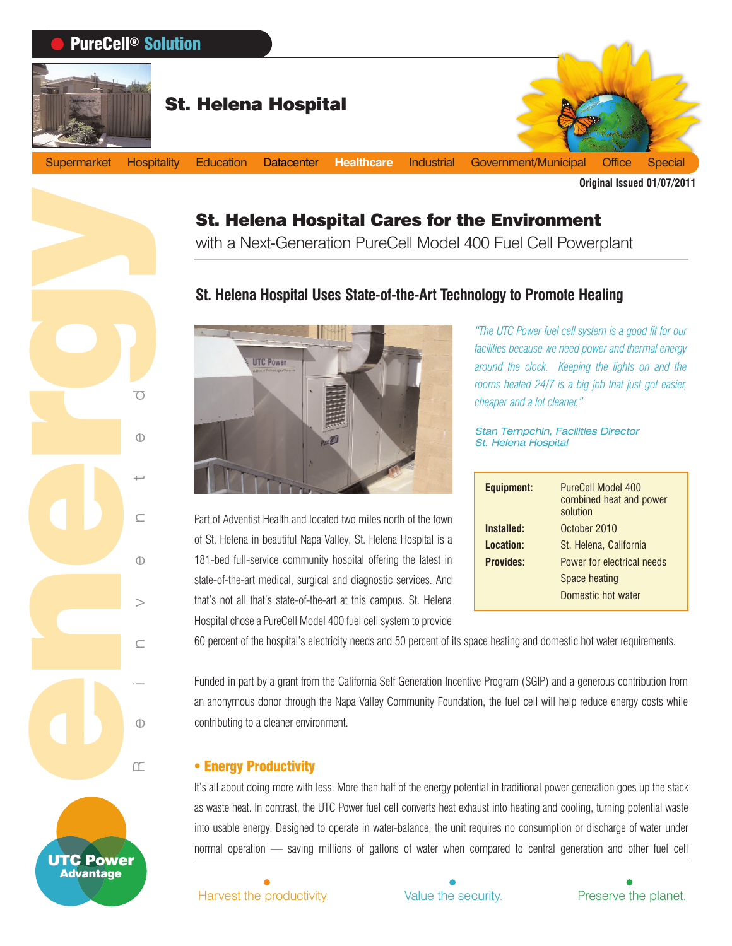

# St. Helena Hospital Cares for the Environment

with a Next-Generation PureCell Model 400 Fuel Cell Powerplant

# **St. Helena Hospital Uses State-of-the-Art Technology to Promote Healing**



Part of Adventist Health and located two miles north of the town of St. Helena in beautiful Napa Valley, St. Helena Hospital is a 181-bed full-service community hospital offering the latest in state-of-the-art medical, surgical and diagnostic services. And that's not all that's state-of-the-art at this campus. St. Helena Hospital chose a PureCell Model 400 fuel cell system to provide

*"The UTC Power fuel cell system is a good fit for our facilities because we need power and thermal energy around the clock. Keeping the lights on and the rooms heated 24/7 is a big job that just got easier, cheaper and a lot cleaner."*

Stan Tempchin, Facilities Director St. Helena Hospital

| <b>Equipment:</b> | PureCell Model 400<br>combined heat and power<br>solution |
|-------------------|-----------------------------------------------------------|
| Installed:        | October 2010                                              |
| Location:         | St. Helena, California                                    |
| <b>Provides:</b>  | Power for electrical needs                                |
|                   | Space heating                                             |
|                   | Domestic hot water                                        |

60 percent of the hospital's electricity needs and 50 percent of its space heating and domestic hot water requirements.

Funded in part by a grant from the California Self Generation Incentive Program (SGIP) and a generous contribution from an anonymous donor through the Napa Valley Community Foundation, the fuel cell will help reduce energy costs while contributing to a cleaner environment.

#### **• Energy Productivity**

Reinvented

UTC Power Advantage

It's all about doing more with less. More than half of the energy potential in traditional power generation goes up the stack as waste heat. In contrast, the UTC Power fuel cell converts heat exhaust into heating and cooling, turning potential waste into usable energy. Designed to operate in water-balance, the unit requires no consumption or discharge of water under normal operation — saving millions of gallons of water when compared to central generation and other fuel cell

Harvest the productivity. Nalue the security. The Preserve the planet.